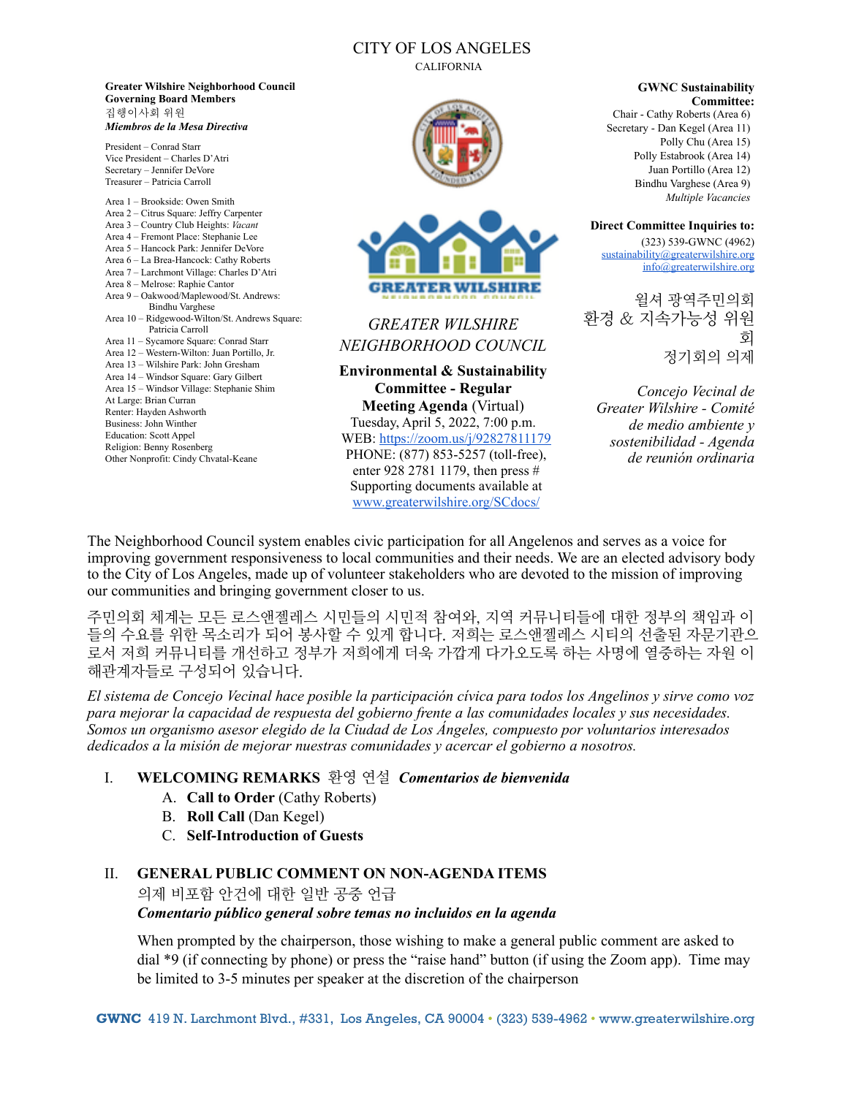## CITY OF LOS ANGELES

CALIFORNIA

**Greater Wilshire Neighborhood Council Governing Board Members**  집행이사회 위원 *Miembros de la Mesa Directiva*

President – Conrad Starr Vice President – Charles D'Atri Secretary – Jennifer DeVore Treasurer – Patricia Carroll

| Area 1 - Brookside: Owen Smith                 |
|------------------------------------------------|
| Area 2 – Citrus Square: Jeffry Carpenter       |
| Area 3 – Country Club Heights: Vacant          |
| Area 4 - Fremont Place: Stephanie Lee          |
| Area 5 – Hancock Park: Jennifer DeVore         |
| Area 6 – La Brea-Hancock: Cathy Roberts        |
| Area 7 - Larchmont Village: Charles D'Atri     |
| Area 8 - Melrose: Raphie Cantor                |
| Area 9 - Oakwood/Maplewood/St. Andrews:        |
| <b>Bindhu Varghese</b>                         |
| Area 10 – Ridgewood-Wilton/St. Andrews Square: |
| Patricia Carroll                               |
| Area 11 - Sycamore Square: Conrad Starr        |
| Area 12 – Western-Wilton: Juan Portillo, Jr.   |
| Area 13 – Wilshire Park: John Gresham          |
| Area 14 – Windsor Square: Gary Gilbert         |
| Area 15 – Windsor Village: Stephanie Shim      |
| At Large: Brian Curran                         |
| Renter: Hayden Ashworth                        |
| Business: John Winther                         |
| <b>Education: Scott Appel</b>                  |
| Religion: Benny Rosenberg                      |
| Other Nonprofit: Cindy Chvatal-Keane           |
|                                                |
|                                                |





# *GREATER WILSHIRE NEIGHBORHOOD COUNCIL*

**Environmental & Sustainability Committee - Regular Meeting Agenda** (Virtual)

Tuesday, April 5, 2022, 7:00 p.m. WEB:<https://zoom.us/j/92827811179> PHONE: (877) 853-5257 (toll-free), enter 928 2781 1179, then press # Supporting documents available at [www.greaterwilshire.org/SCdocs/](http://www.greaterwilshire.org/SCdocs/)

**GWNC Sustainability Committee:** 

Chair - Cathy Roberts (Area 6) Secretary - Dan Kegel (Area 11) Polly Chu (Area 15) Polly Estabrook (Area 14) Juan Portillo (Area 12) Bindhu Varghese (Area 9) *Multiple Vacancies* 

**Direct Committee Inquiries to:** (323) 539-GWNC (4962) [sustainability@greaterwilshire.org](mailto:sustainability@greaterwilshire.org) [info@greaterwilshire.org](mailto:info@greaterwilshire.org)

윌셔 광역주민의회 환경 & 지속가능성 위원 회 정기회의 의제

*Concejo Vecinal de Greater Wilshire - Comité de medio ambiente y sostenibilidad - Agenda de reunión ordinaria* 

The Neighborhood Council system enables civic participation for all Angelenos and serves as a voice for improving government responsiveness to local communities and their needs. We are an elected advisory body to the City of Los Angeles, made up of volunteer stakeholders who are devoted to the mission of improving our communities and bringing government closer to us.

주민의회 체계는 모든 로스앤젤레스 시민들의 시민적 참여와, 지역 커뮤니티들에 대한 정부의 책임과 이 들의 수요를 위한 목소리가 되어 봉사할 수 있게 합니다. 저희는 로스앤젤레스 시티의 선출된 자문기관으 로서 저희 커뮤니티를 개선하고 정부가 저희에게 더욱 가깝게 다가오도록 하는 사명에 열중하는 자원 이 해관계자들로 구성되어 있습니다.

*El sistema de Concejo Vecinal hace posible la participación cívica para todos los Angelinos y sirve como voz para mejorar la capacidad de respuesta del gobierno frente a las comunidades locales y sus necesidades. Somos un organismo asesor elegido de la Ciudad de Los Ángeles, compuesto por voluntarios interesados dedicados a la misión de mejorar nuestras comunidades y acercar el gobierno a nosotros.*

## I. **WELCOMING REMARKS** 환영 연설 *Comentarios de bienvenida*

- A. **Call to Order** (Cathy Roberts)
- B. **Roll Call** (Dan Kegel)
- C. **Self-Introduction of Guests**

## II. **GENERAL PUBLIC COMMENT ON NON-AGENDA ITEMS**

의제 비포함 안건에 대한 일반 공중 언급

#### *Comentario público general sobre temas no incluidos en la agenda*

When prompted by the chairperson, those wishing to make a general public comment are asked to dial \*9 (if connecting by phone) or press the "raise hand" button (if using the Zoom app). Time may be limited to 3-5 minutes per speaker at the discretion of the chairperson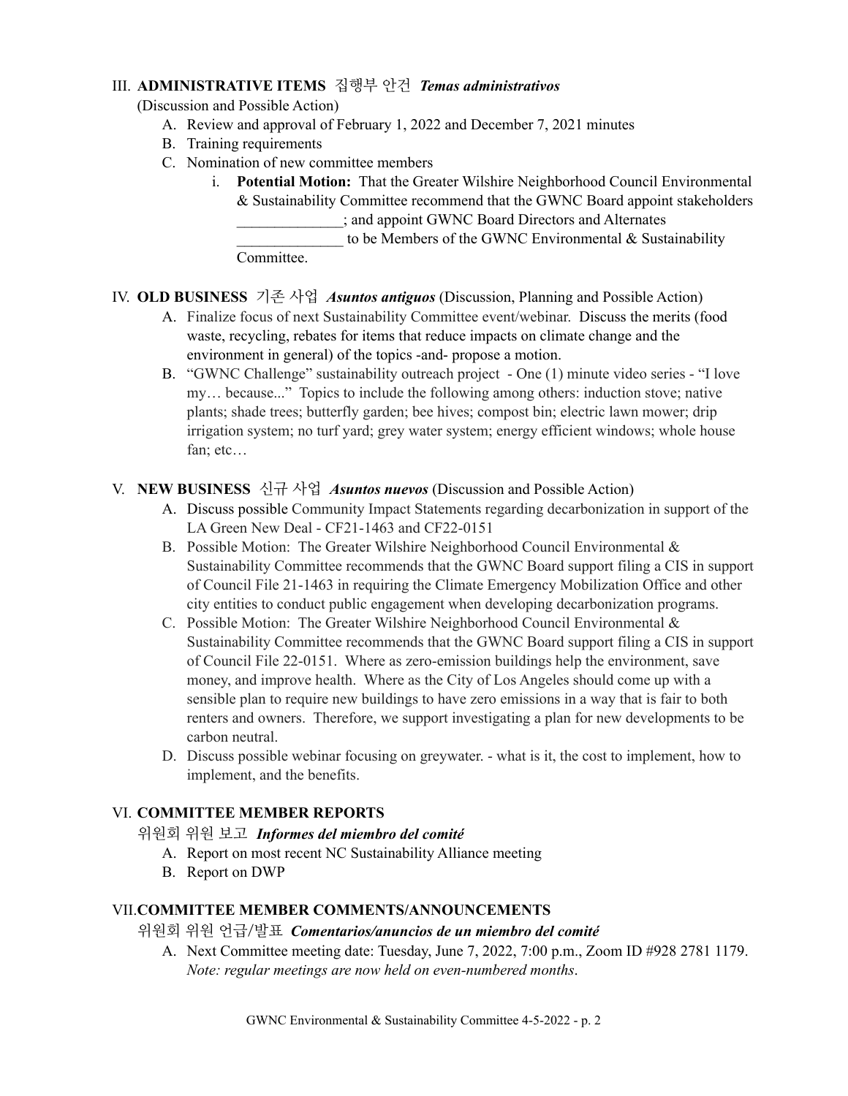## III. **ADMINISTRATIVE ITEMS** 집행부 안건 *Temas administrativos*

(Discussion and Possible Action)

- A. Review and approval of February 1, 2022 and December 7, 2021 minutes
- B. Training requirements
- C. Nomination of new committee members
	- i. **Potential Motion:** That the Greater Wilshire Neighborhood Council Environmental & Sustainability Committee recommend that the GWNC Board appoint stakeholders \_\_\_\_\_\_\_\_\_\_\_\_\_\_; and appoint GWNC Board Directors and Alternates to be Members of the GWNC Environmental  $&$  Sustainability Committee.

## IV. **OLD BUSINESS** 기존 사업 *Asuntos antiguos* (Discussion, Planning and Possible Action)

- A. Finalize focus of next Sustainability Committee event/webinar. Discuss the merits (food waste, recycling, rebates for items that reduce impacts on climate change and the environment in general) of the topics -and- propose a motion.
- B. "GWNC Challenge" sustainability outreach project One (1) minute video series "I love my… because..." Topics to include the following among others: induction stove; native plants; shade trees; butterfly garden; bee hives; compost bin; electric lawn mower; drip irrigation system; no turf yard; grey water system; energy efficient windows; whole house fan; etc…

#### V. **NEW BUSINESS** 신규 사업 *Asuntos nuevos* (Discussion and Possible Action)

- A. Discuss possible Community Impact Statements regarding decarbonization in support of the LA Green New Deal - CF21-1463 and CF22-0151
- B. Possible Motion: The Greater Wilshire Neighborhood Council Environmental & Sustainability Committee recommends that the GWNC Board support filing a CIS in support of Council File 21-1463 in requiring the Climate Emergency Mobilization Office and other city entities to conduct public engagement when developing decarbonization programs.
- C. Possible Motion: The Greater Wilshire Neighborhood Council Environmental  $\&$ Sustainability Committee recommends that the GWNC Board support filing a CIS in support of Council File 22-0151. Where as zero-emission buildings help the environment, save money, and improve health. Where as the City of Los Angeles should come up with a sensible plan to require new buildings to have zero emissions in a way that is fair to both renters and owners. Therefore, we support investigating a plan for new developments to be carbon neutral.
- D. Discuss possible webinar focusing on greywater. what is it, the cost to implement, how to implement, and the benefits.

#### VI. **COMMITTEE MEMBER REPORTS**

## 위원회 위원 보고*Informes del miembro del comité*

- A. Report on most recent NC Sustainability Alliance meeting
- B. Report on DWP

#### VII.**COMMITTEE MEMBER COMMENTS/ANNOUNCEMENTS**

#### 위원회 위원 언급/발표*Comentarios/anuncios de un miembro del comité*

A. Next Committee meeting date: Tuesday, June 7, 2022, 7:00 p.m., Zoom ID #928 2781 1179. *Note: regular meetings are now held on even-numbered months*.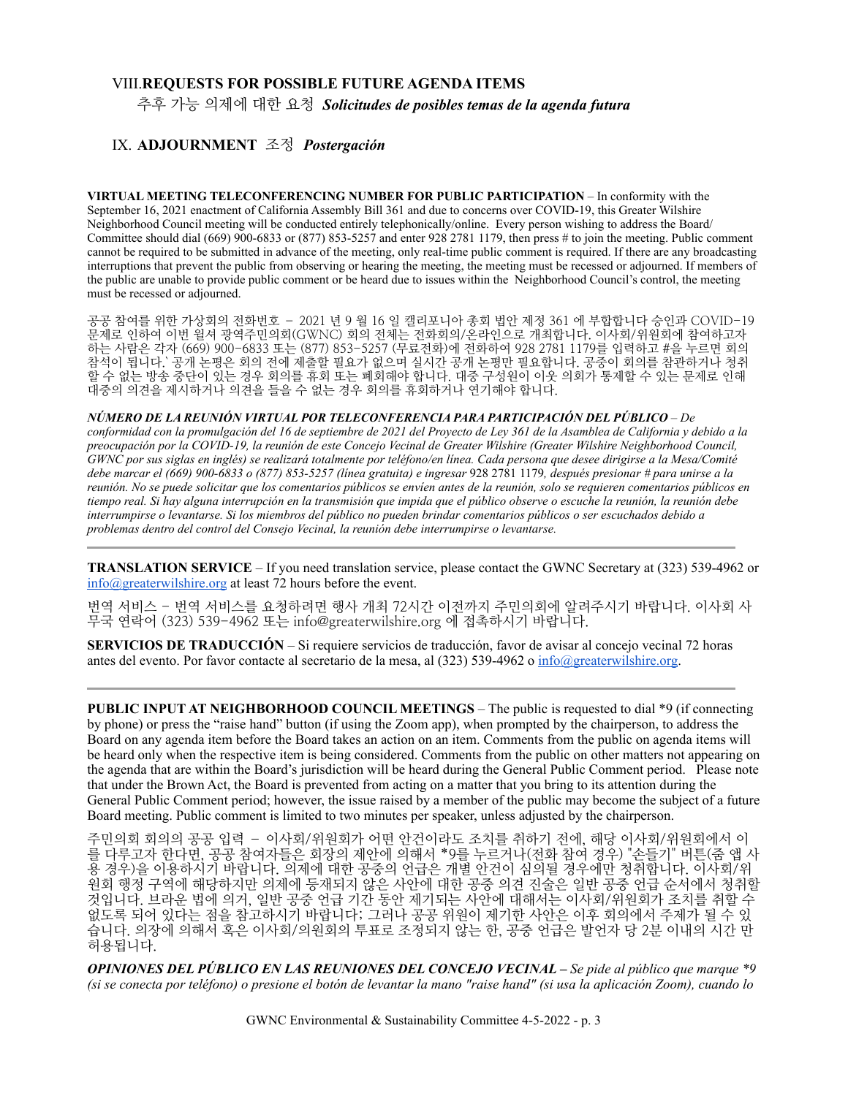#### VIII.**REQUESTS FOR POSSIBLE FUTURE AGENDA ITEMS**

추후 가능 의제에 대한 요청 *Solicitudes de posibles temas de la agenda futura*

#### IX. **ADJOURNMENT** 조정*Postergación*

**VIRTUAL MEETING TELECONFERENCING NUMBER FOR PUBLIC PARTICIPATION** – In conformity with the September 16, 2021 enactment of California Assembly Bill 361 and due to concerns over COVID-19, this Greater Wilshire Neighborhood Council meeting will be conducted entirely telephonically/online. Every person wishing to address the Board/ Committee should dial (669) 900-6833 or (877) 853-5257 and enter 928 2781 1179, then press # to join the meeting. Public comment cannot be required to be submitted in advance of the meeting, only real-time public comment is required. If there are any broadcasting interruptions that prevent the public from observing or hearing the meeting, the meeting must be recessed or adjourned. If members of the public are unable to provide public comment or be heard due to issues within the Neighborhood Council's control, the meeting must be recessed or adjourned.

공공 참여를 위한 가상회의 전화번호 – 2021 년 9 월 16 일 캘리포니아 총회 법안 제정 361 에 부합합니다 승인과 COVID-19 문제로 인하여 이번 윌셔 광역주민의회(GWNC) 회의 전체는 전화회의/온라인으로 개최합니다. 이사회/위원회에 참여하고자 하는 사람은 각자 (669) 900-6833 또는 (877) 853-5257 (무료전화)에 전화하여 928 2781 1179를 입력하고 #을 누르면 회의 참석이 됩니다.` 공개 논평은 회의 전에 제출할 필요가 없으며 실시간 공개 논평만 필요합니다. 공중이 회의를 참관하거나 청취 할 수 없는 방송 중단이 있는 경우 회의를 휴회 또는 폐회해야 합니다. 대중 구성원이 이웃 의회가 통제할 수 있는 문제로 인해 대중의 의견을 제시하거나 의견을 들을 수 없는 경우 회의를 휴회하거나 연기해야 합니다.

*NÚMERO DE LA REUNIÓN VIRTUAL POR TELECONFERENCIA PARA PARTICIPACIÓN DEL PÚBLICO* – *De conformidad con la promulgación del 16 de septiembre de 2021 del Proyecto de Ley 361 de la Asamblea de California y debido a la preocupación por la COVID-19, la reunión de este Concejo Vecinal de Greater Wilshire (Greater Wilshire Neighborhood Council, GWNC por sus siglas en inglés) se realizará totalmente por teléfono/en línea. Cada persona que desee dirigirse a la Mesa/Comité debe marcar el (669) 900-6833 o (877) 853-5257 (línea gratuita) e ingresar* 928 2781 1179*, después presionar # para unirse a la reunión. No se puede solicitar que los comentarios públicos se envíen antes de la reunión, solo se requieren comentarios públicos en tiempo real. Si hay alguna interrupción en la transmisión que impida que el público observe o escuche la reunión, la reunión debe interrumpirse o levantarse. Si los miembros del público no pueden brindar comentarios públicos o ser escuchados debido a problemas dentro del control del Consejo Vecinal, la reunión debe interrumpirse o levantarse.*

**TRANSLATION SERVICE** – If you need translation service, please contact the GWNC Secretary at (323) 539-4962 or [info@greaterwilshire.org](mailto:info@greaterwilshire.org) at least 72 hours before the event.

번역 서비스 - 번역 서비스를 요청하려면 행사 개최 72시간 이전까지 주민의회에 알려주시기 바랍니다. 이사회 사 무국 연락어 (323) 539-4962 또는 [info@greaterwilshire.org](mailto:info@greaterwilshire.org) 에 접촉하시기 바랍니다.

**SERVICIOS DE TRADUCCIÓN** – S[i requiere servicios de traducción, favor de avisar al concejo vecinal 72 horas](http://www.greaterwilshire.org/)  [antes del evento. Por favor contacte al secretario de la mesa, al \(323\) 539-4962 o](http://www.greaterwilshire.org/) [info@greaterwilshire.org](mailto:info@greaterwilshire.org)[.](http://www.greaterwilshire.org/)

**PUBLIC INPUT AT NEIGHBORHOOD COUNCIL MEETINGS – The public is requested to dial \*9 (if connecting** by phone) or press the "raise hand" button (if using the Zoom app), when prompted by the chairperson, to address the Board on any agenda item before the Board takes an action on an item. Comments from the public on agenda items will be heard only when the respective item is being considered. Comments from the public on other matters not appearing on the agenda that are within the Board's jurisdiction will be heard during the General Public Comment period. Please note that under the Brown Act, the Board is prevented from acting on a matter that you bring to its attention during the General Public Comment period; however, the issue raised by a member of the public may become the subject of a future Board meeting. Public comment is limited to two minutes per speaker, unless adjusted by the chairperson.

주민의회 회의의 공공 입력 – 이사회/위원회가 어떤 안건이라도 조치를 취하기 전에, 해당 이사회/위원회에서 이 를 다루고자 한다면, 공공 참여자들은 회장의 제안에 의해서 \*9를 누르거나(전화 참여 경우) "손들기" 버튼(줌 앱 사 용 경우)을 이용하시기 바랍니다. 의제에 대한 공중의 언급은 개별 안건이 심의될 경우에만 청취합니다. 이사회/위 원회 행정 구역에 해당하지만 의제에 등재되지 않은 사안에 대한 공중 의견 진술은 일반 공중 언급 순서에서 청취할 것입니다. 브라운 법에 의거, 일반 공중 언급 기간 동안 제기되는 사안에 대해서는 이사회/위원회가 조치를 취할 수 없도록 되어 있다는 점을 참고하시기 바랍니다; 그러나 공공 위원이 제기한 사안은 이후 회의에서 주제가 될 수 있 습니다. 의장에 의해서 혹은 이사회/의원회의 투표로 조정되지 않는 한, 공중 언급은 발언자 당 2분 이내의 시간 만 허용됩니다.

*OPINIONES DEL PÚBLICO EN LAS REUNIONES DEL CONCEJO VECINAL – Se pide al público que marque \*9 (si se conecta por teléfono) o presione el botón de levantar la mano "raise hand" (si usa la aplicación Zoom), cuando lo*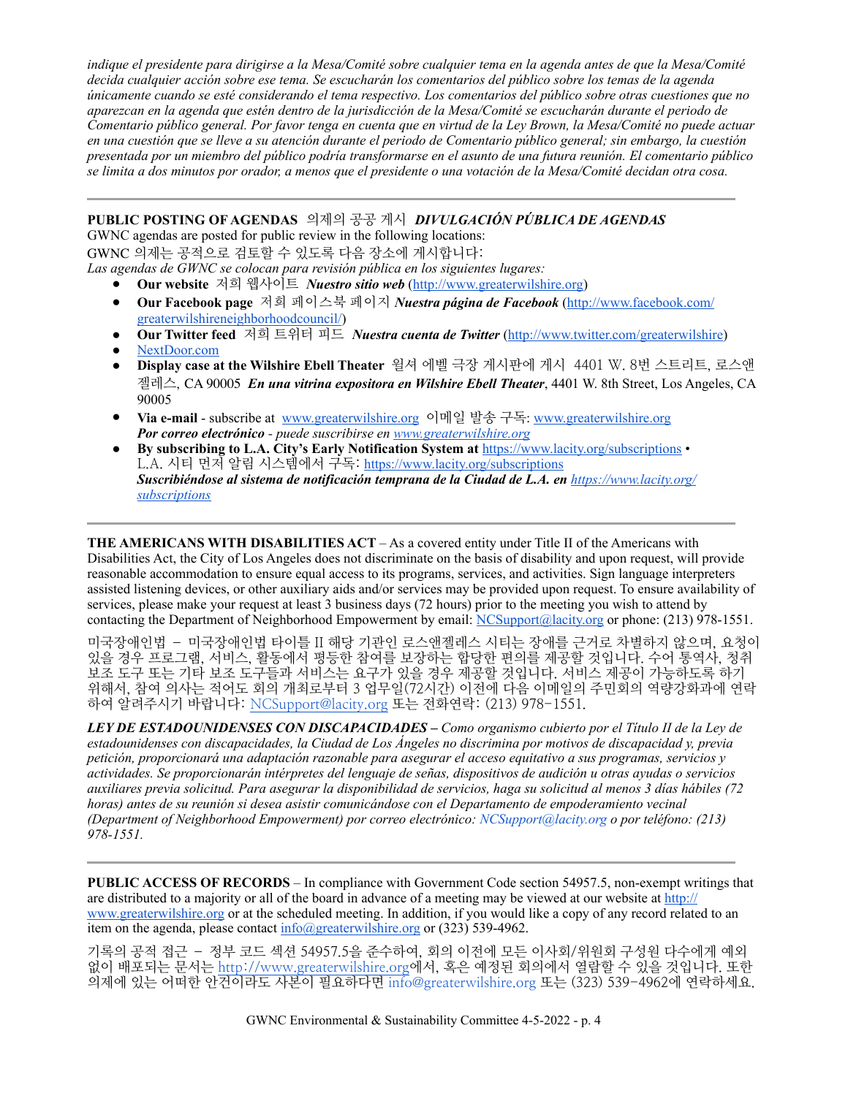*indique el presidente para dirigirse a la Mesa/Comité sobre cualquier tema en la agenda antes de que la Mesa/Comité decida cualquier acción sobre ese tema. Se escucharán los comentarios del público sobre los temas de la agenda únicamente cuando se esté considerando el tema respectivo. Los comentarios del público sobre otras cuestiones que no aparezcan en la agenda que estén dentro de la jurisdicción de la Mesa/Comité se escucharán durante el periodo de Comentario público general. Por favor tenga en cuenta que en virtud de la Ley Brown, la Mesa/Comité no puede actuar en una cuestión que se lleve a su atención durante el periodo de Comentario público general; sin embargo, la cuestión presentada por un miembro del público podría transformarse en el asunto de una futura reunión. El comentario público se limita a dos minutos por orador, a menos que el presidente o una votación de la Mesa/Comité decidan otra cosa.*

#### **PUBLIC POSTING OF AGENDAS** 의제의 공공 게시*DIVULGACIÓN PÚBLICA DE AGENDAS*

GWNC agendas are posted for public review in the following locations:

GWNC 의제는 공적으로 검토할 수 있도록 다음 장소에 게시합니다:

*Las agendas de GWNC se colocan para revisión pública en los siguientes lugares:* 

- **Our website** 저희 웹사이트 *Nuestro sitio web* [\(http://www.greaterwilshire.org](http://www.greaterwilshire.org))
- **Our Facebook page** 저희 페이스북 페이지 *Nuestra página de Facebook* ([http://www.facebook.com/](http://www.facebook.com/greaterwilshireneighborhoodcouncil) [greaterwilshireneighborhoodcouncil/\)](http://www.facebook.com/greaterwilshireneighborhoodcouncil)
- **Our Twitter feed** 저희 트위터 피드 *Nuestra cuenta de Twitter* (<http://www.twitter.com/greaterwilshire>)
- [NextDoor.com](https://nextdoor.com/)
- **Display case at the Wilshire Ebell Theater** 윌셔 에벨 극장 게시판에 게시 4401 W. 8번 스트리트, 로스앤 젤레스, CA 90005 *En una vitrina expositora en Wilshire Ebell Theater*, 4401 W. 8th Street, Los Angeles, CA 90005
- **Via e-mail** subscribe at [www.greaterwilshire.org](http://www.greaterwilshire.org) 이메일 발송 구독: [www.greaterwilshire.org](http://www.greaterwilshire.org)  *Por correo electrónico - puede suscribirse en [www.greaterwilshire.org](http://www.greaterwilshire.org)*
- **By subscribing to L.A. City's Early Notification System at** <https://www.lacity.org/subscriptions> L.A. 시티 먼저 알림 시스템에서 구독: <https://www.lacity.org/subscriptions> *Suscribiéndose al sistema de notificación temprana de la Ciudad de L.A. en [https://www.lacity.org/](https://www.lacity.org/subscriptions) [subscriptions](https://www.lacity.org/subscriptions)*

**THE AMERICANS WITH DISABILITIES ACT** – As a covered entity under Title II of the Americans with Disabilities Act, the City of Los Angeles does not discriminate on the basis of disability and upon request, will provide reasonable accommodation to ensure equal access to its programs, services, and activities. Sign language interpreters assisted listening devices, or other auxiliary aids and/or services may be provided upon request. To ensure availability of services, please make your request at least 3 business days (72 hours) prior to the meeting you wish to attend by contacting the Department of Neighborhood Empowerment by email: [NCSupport@lacity.org](mailto:NCSupport@lacity.org) or phone: (213) 978-1551.

미국장애인법 – 미국장애인법 타이틀 II 해당 기관인 로스앤젤레스 시티는 장애를 근거로 차별하지 않으며, 요청이 있을 경우 프로그램, 서비스, 활동에서 평등한 참여를 보장하는 합당한 편의를 제공할 것입니다. 수어 통역사, 청취 보조 도구 또는 기타 보조 도구들과 서비스는 요구가 있을 경우 제공할 것입니다. 서비스 제공이 가능하도록 하기 위해서, 참여 의사는 적어도 회의 개최로부터 3 업무일(72시간) 이전에 다음 이메일의 주민회의 역량강화과에 연락 하여 알려주시기 바랍니다: [NCSupport@lacity.org](mailto:NCSupport@lacity.org) 또는 전화연락: (213) 978-1551.

*LEY DE ESTADOUNIDENSES CON DISCAPACIDADES – Como organismo cubierto por el Título II de la Ley de estadounidenses con discapacidades, la Ciudad de Los Ángeles no discrimina por motivos de discapacidad y, previa petición, proporcionará una adaptación razonable para asegurar el acceso equitativo a sus programas, servicios y actividades. Se proporcionarán intérpretes del lenguaje de señas, dispositivos de audición u otras ayudas o servicios auxiliares previa solicitud. Para asegurar la disponibilidad de servicios, haga su solicitud al menos 3 días hábiles (72 horas) antes de su reunión si desea asistir comunicándose con el Departamento de empoderamiento vecinal (Department of Neighborhood Empowerment) por correo electrónico: NCSupport@lacity.org o por teléfono: (213) 978-1551.* 

**PUBLIC ACCESS OF RECORDS** – In compliance with Government Code section 54957.5, non-exempt writings that are distributed to a majority or all of the board in advance of a meeting may be viewed at our website at [http://](http://www.greaterwilshire.org) [www.greaterwilshire.org](http://www.greaterwilshire.org) or at the scheduled meeting. In addition, if you would like a copy of any record related to an item on the agenda, please contact  $\frac{info(Q)\text{greaterwilshire.org}}{info(Q)\text{greaterulshire.org}}$  or (323) 539-4962.

기록의 공적 접근 – 정부 코드 섹션 54957.5을 준수하여, 회의 이전에 모든 이사회/위원회 구성원 다수에게 예외 없이 배포되는 문서[는 http://www.greaterwilshire.org에](http://www.greaterwilshire.org)서, 혹은 예정된 회의에서 열람할 수 있을 것입니다. 또한 의제에 있는 어떠한 안건이라도 사본이 필요하다면 info@greaterwilshire.org 또는 (323) 539-4962에 연락하세요.

GWNC Environmental & Sustainability Committee 4-5-2022 - p. 4